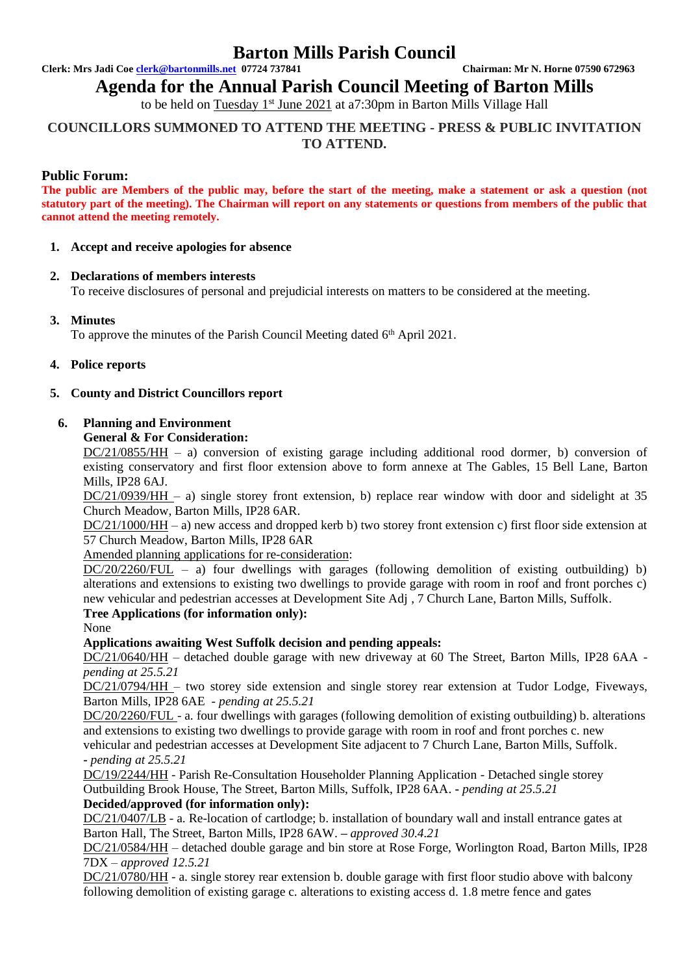# **Barton Mills Parish Council**

**Clerk: Mrs Jadi Coe [clerk@bartonmills.net](mailto:clerk@bartonmills.net) 07724 737841 Chairman: Mr N. Horne 07590 672963**

**Agenda for the Annual Parish Council Meeting of Barton Mills** 

to be held on Tuesday 1<sup>st</sup> June 2021 at a7:30pm in Barton Mills Village Hall

# **COUNCILLORS SUMMONED TO ATTEND THE MEETING - PRESS & PUBLIC INVITATION TO ATTEND.**

# **Public Forum:**

**The public are Members of the public may, before the start of the meeting, make a statement or ask a question (not statutory part of the meeting). The Chairman will report on any statements or questions from members of the public that cannot attend the meeting remotely.**

# **1. Accept and receive apologies for absence**

# **2. Declarations of members interests**

To receive disclosures of personal and prejudicial interests on matters to be considered at the meeting.

# **3. Minutes**

To approve the minutes of the Parish Council Meeting dated 6<sup>th</sup> April 2021.

#### **4. Police reports**

# **5. County and District Councillors report**

#### **6. Planning and Environment**

#### **General & For Consideration:**

DC/21/0855/HH – a) conversion of existing garage including additional rood dormer, b) conversion of existing conservatory and first floor extension above to form annexe at The Gables, 15 Bell Lane, Barton Mills, IP28 6AJ.

DC/21/0939/HH – a) single storey front extension, b) replace rear window with door and sidelight at 35 Church Meadow, Barton Mills, IP28 6AR.

DC/21/1000/HH – a) new access and dropped kerb b) two storey front extension c) first floor side extension at 57 Church Meadow, Barton Mills, IP28 6AR

Amended planning applications for re-consideration:

 $DC/20/2260/FUL - a)$  four dwellings with garages (following demolition of existing outbuilding) b) alterations and extensions to existing two dwellings to provide garage with room in roof and front porches c) new vehicular and pedestrian accesses at Development Site Adj , 7 Church Lane, Barton Mills, Suffolk.

# **Tree Applications (for information only):**

None

**Applications awaiting West Suffolk decision and pending appeals:**

DC/21/0640/HH – detached double garage with new driveway at 60 The Street, Barton Mills, IP28 6AA  *pending at 25.5.21*

DC/21/0794/HH – two storey side extension and single storey rear extension at Tudor Lodge, Fiveways, Barton Mills, IP28 6AE *- pending at 25.5.21*

DC/20/2260/FUL - a. four dwellings with garages (following demolition of existing outbuilding) b. alterations and extensions to existing two dwellings to provide garage with room in roof and front porches c. new vehicular and pedestrian accesses at Development Site adjacent to 7 Church Lane, Barton Mills, Suffolk. **-** *pending at 25.5.21*

DC/19/2244/HH - Parish Re-Consultation Householder Planning Application - Detached single storey Outbuilding Brook House, The Street, Barton Mills, Suffolk, IP28 6AA. **-** *pending at 25.5.21*

# **Decided/approved (for information only):**

DC/21/0407/LB - a. Re-location of cartlodge; b. installation of boundary wall and install entrance gates at Barton Hall, The Street, Barton Mills, IP28 6AW. **–** *approved 30.4.21*

DC/21/0584/HH – detached double garage and bin store at Rose Forge, Worlington Road, Barton Mills, IP28 7DX – *approved 12.5.21*

DC/21/0780/HH - a. single storey rear extension b. double garage with first floor studio above with balcony following demolition of existing garage c. alterations to existing access d. 1.8 metre fence and gates